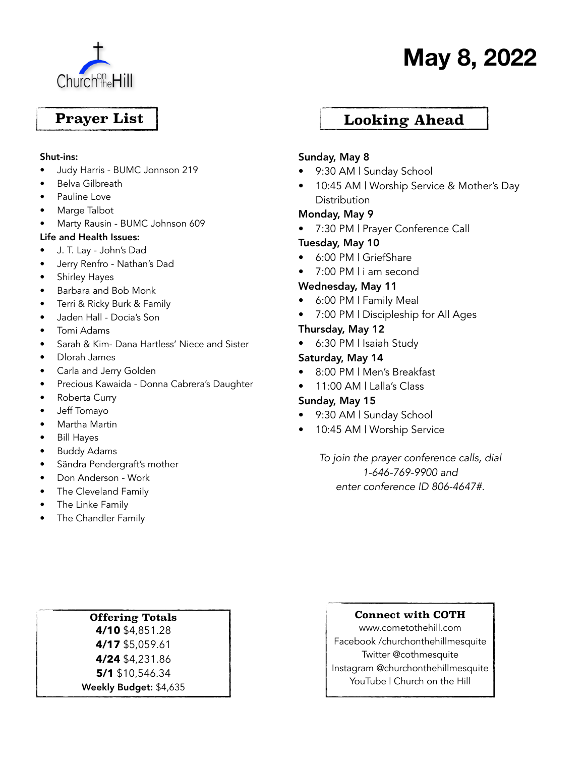

# **May 8, 2022**

## **Prayer List**

#### Shut-ins:

- Judy Harris BUMC Jonnson 219
- Belva Gilbreath
- Pauline Love
- Marge Talbot
- Marty Rausin BUMC Johnson 609

#### Life and Health Issues:

- J. T. Lay John's Dad
- Jerry Renfro Nathan's Dad
- Shirley Hayes
- Barbara and Bob Monk
- Terri & Ricky Burk & Family
- Jaden Hall Docia's Son
- Tomi Adams
- Sarah & Kim- Dana Hartless' Niece and Sister
- Dlorah James
- Carla and Jerry Golden
- Precious Kawaida Donna Cabrera's Daughter
- Roberta Curry
- Jeff Tomayo
- Martha Martin
- Bill Hayes
- Buddy Adams
- Sãndra Pendergraft's mother
- Don Anderson Work
- The Cleveland Family
- The Linke Family
- The Chandler Family

### **Looking Ahead**

#### Sunday, May 8

- 9:30 AM | Sunday School
- 10:45 AM | Worship Service & Mother's Day **Distribution**

#### Monday, May 9

• 7:30 PM | Prayer Conference Call

#### Tuesday, May 10

- 6:00 PM | GriefShare
- 7:00 PM | i am second

#### Wednesday, May 11

- 6:00 PM | Family Meal
- 7:00 PM | Discipleship for All Ages

#### Thursday, May 12

• 6:30 PM | Isaiah Study

#### Saturday, May 14

- 8:00 PM | Men's Breakfast
- 11:00 AM | Lalla's Class

#### Sunday, May 15

- 9:30 AM | Sunday School
- 10:45 AM | Worship Service

*To join the prayer conference calls, dial 1-646-769-9900 and enter conference ID 806-4647#.*

#### **Offering Totals**

**4/10** \$4,851.28 **4/17** \$5,059.61 **4/24** \$4,231.86 **5/1** \$10,546.34 Weekly Budget: \$4,635

#### **Connect with COTH**

www.cometothehill.com Facebook /churchonthehillmesquite Twitter @cothmesquite Instagram @churchonthehillmesquite YouTube | Church on the Hill